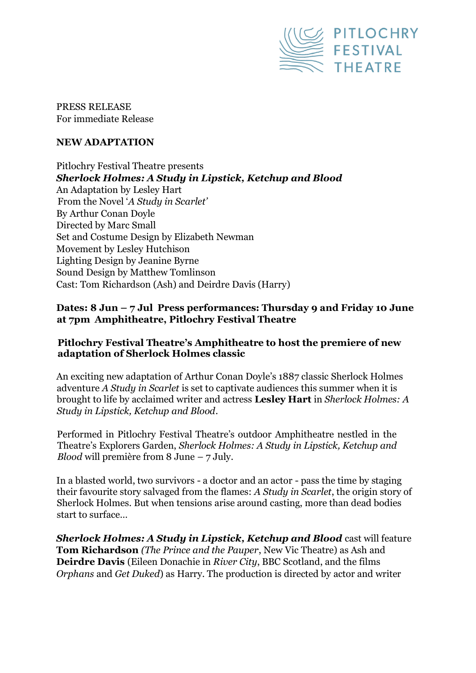

PRESS RELEASE For immediate Release

# **NEW ADAPTATION**

Pitlochry Festival Theatre presents *Sherlock Holmes: A Study in Lipstick, Ketchup and Blood* An Adaptation by Lesley Hart From the Novel '*A Study in Scarlet'* By Arthur Conan Doyle Directed by Marc Small Set and Costume Design by Elizabeth Newman Movement by Lesley Hutchison Lighting Design by Jeanine Byrne Sound Design by Matthew Tomlinson Cast: Tom Richardson (Ash) and Deirdre Davis (Harry)

# **Dates: 8 Jun – 7 Jul Press performances: Thursday 9 and Friday 10 June at 7pm Amphitheatre, Pitlochry Festival Theatre**

## **Pitlochry Festival Theatre's Amphitheatre to host the premiere of new adaptation of Sherlock Holmes classic**

An exciting new adaptation of Arthur Conan Doyle's 1887 classic Sherlock Holmes adventure *A Study in Scarlet* is set to captivate audiences this summer when it is brought to life by acclaimed writer and actress **Lesley Hart** in *Sherlock Holmes: A Study in Lipstick, Ketchup and Blood*.

Performed in Pitlochry Festival Theatre's outdoor Amphitheatre nestled in the Theatre's Explorers Garden, *Sherlock Holmes: A Study in Lipstick, Ketchup and Blood* will première from 8 June – 7 July.

In a blasted world, two survivors - a doctor and an actor - pass the time by staging their favourite story salvaged from the flames: *A Study in Scarlet*, the origin story of Sherlock Holmes. But when tensions arise around casting, more than dead bodies start to surface…

*Sherlock Holmes: A Study in Lipstick, Ketchup and Blood* cast will feature **Tom Richardson** *(The Prince and the Pauper*, New Vic Theatre) as Ash and **Deirdre Davis** (Eileen Donachie in *River City*, BBC Scotland, and the films *Orphans* and *Get Duked*) as Harry. The production is directed by actor and writer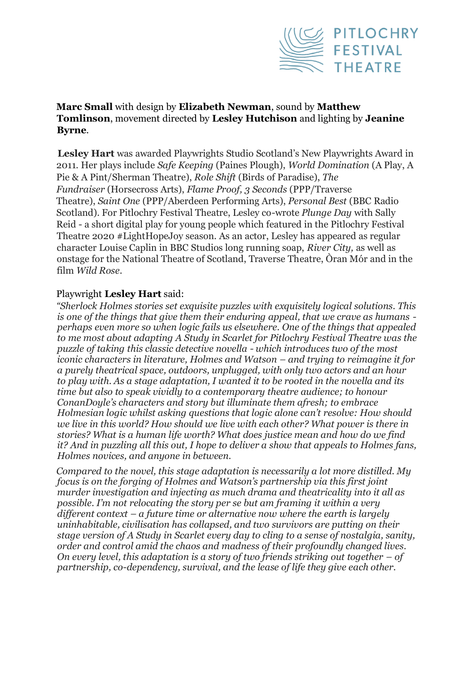

## **Marc Small** with design by **Elizabeth Newman**, sound by **Matthew Tomlinson**, movement directed by **Lesley Hutchison** and lighting by **Jeanine Byrne**.

**Lesley Hart** was awarded Playwrights Studio Scotland's New Playwrights Award in 2011. Her plays include *Safe Keeping* (Paines Plough), *World Domination* (A Play, A Pie & A Pint/Sherman Theatre), *Role Shift* (Birds of Paradise), *The Fundraiser* (Horsecross Arts), *Flame Proof, 3 Seconds* (PPP/Traverse Theatre), *Saint One* (PPP/Aberdeen Performing Arts), *Personal Best* (BBC Radio Scotland). For Pitlochry Festival Theatre, Lesley co-wrote *Plunge Day* with Sally Reid - a short digital play for young people which featured in the Pitlochry Festival Theatre 2020 #LightHopeJoy season. As an actor, Lesley has appeared as regular character Louise Caplin in BBC Studios long running soap, *River City,* as well as onstage for the National Theatre of Scotland, Traverse Theatre, Òran Mór and in the film *Wild Rose*.

## Playwright **Lesley Hart** said:

*"Sherlock Holmes stories set exquisite puzzles with exquisitely logical solutions. This is one of the things that give them their enduring appeal, that we crave as humans perhaps even more so when logic fails us elsewhere. One of the things that appealed to me most about adapting A Study in Scarlet for Pitlochry Festival Theatre was the puzzle of taking this classic detective novella - which introduces two of the most iconic characters in literature, Holmes and Watson – and trying to reimagine it for a purely theatrical space, outdoors, unplugged, with only two actors and an hour to play with. As a stage adaptation, I wanted it to be rooted in the novella and its time but also to speak vividly to a contemporary theatre audience; to honour ConanDoyle's characters and story but illuminate them afresh; to embrace Holmesian logic whilst asking questions that logic alone can't resolve: How should we live in this world? How should we live with each other? What power is there in stories? What is a human life worth? What does justice mean and how do we find it? And in puzzling all this out, I hope to deliver a show that appeals to Holmes fans, Holmes novices, and anyone in between.* 

*Compared to the novel, this stage adaptation is necessarily a lot more distilled. My focus is on the forging of Holmes and Watson's partnership via this first joint murder investigation and injecting as much drama and theatricality into it all as possible. I'm not relocating the story per se but am framing it within a very different context – a future time or alternative now where the earth is largely uninhabitable, civilisation has collapsed, and two survivors are putting on their stage version of A Study in Scarlet every day to cling to a sense of nostalgia, sanity, order and control amid the chaos and madness of their profoundly changed lives. On every level, this adaptation is a story of two friends striking out together – of partnership, co-dependency, survival, and the lease of life they give each other.*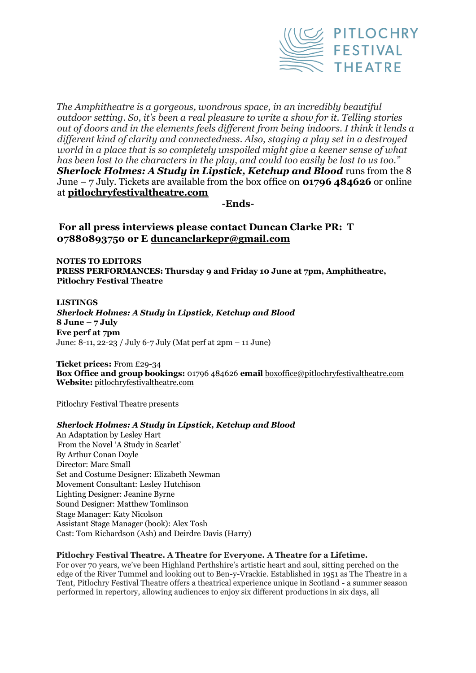

*The Amphitheatre is a gorgeous, wondrous space, in an incredibly beautiful outdoor setting. So, it's been a real pleasure to write a show for it. Telling stories out of doors and in the elements feels different from being indoors. I think it lends a different kind of clarity and connectedness. Also, staging a play set in a destroyed*  world in a place that is so completely unspoiled might give a keener sense of what *has been lost to the characters in the play, and could too easily be lost to us too."*  **Sherlock Holmes: A Study in Lipstick, Ketchup and Blood** runs from the 8 June – 7 July. Tickets are available from the box office on **01796 484626** or online at **pitlochryfestivaltheatre.com**

**-Ends-**

**For all press interviews please contact Duncan Clarke PR: T 07880893750 or E duncanclarkepr@gmail.com**

**NOTES TO EDITORS PRESS PERFORMANCES: Thursday 9 and Friday 10 June at 7pm, Amphitheatre, Pitlochry Festival Theatre** 

**LISTINGS**  *Sherlock Holmes: A Study in Lipstick, Ketchup and Blood* **8 June – 7 July Eve perf at 7pm** June: 8-11, 22-23 / July 6-7 July (Mat perf at 2pm – 11 June)

**Ticket prices:** From £29-34 **Box Office and group bookings:** 01796 484626 **email** boxoffice@pitlochryfestivaltheatre.com **Website:** pitlochryfestivaltheatre.com

Pitlochry Festival Theatre presents

### *Sherlock Holmes: A Study in Lipstick, Ketchup and Blood*

An Adaptation by Lesley Hart From the Novel 'A Study in Scarlet' By Arthur Conan Doyle Director: Marc Small Set and Costume Designer: Elizabeth Newman Movement Consultant: Lesley Hutchison Lighting Designer: Jeanine Byrne Sound Designer: Matthew Tomlinson Stage Manager: Katy Nicolson Assistant Stage Manager (book): Alex Tosh Cast: Tom Richardson (Ash) and Deirdre Davis (Harry)

### **Pitlochry Festival Theatre. A Theatre for Everyone. A Theatre for a Lifetime.**

For over 70 years, we've been Highland Perthshire's artistic heart and soul, sitting perched on the edge of the River Tummel and looking out to Ben-y-Vrackie. Established in 1951 as The Theatre in a Tent, Pitlochry Festival Theatre offers a theatrical experience unique in Scotland - a summer season performed in repertory, allowing audiences to enjoy six different productions in six days, all